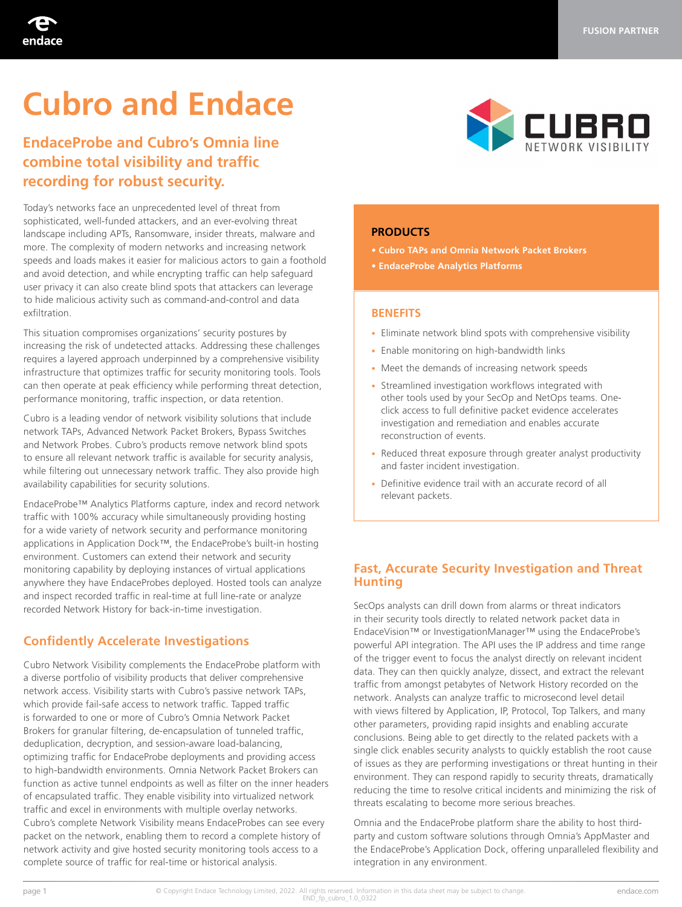

# **Cubro and Endace**

# **EndaceProbe and Cubro's Omnia line combine total visibility and traffic recording for robust security.**

Today's networks face an unprecedented level of threat from sophisticated, well-funded attackers, and an ever-evolving threat landscape including APTs, Ransomware, insider threats, malware and more. The complexity of modern networks and increasing network speeds and loads makes it easier for malicious actors to gain a foothold and avoid detection, and while encrypting traffic can help safeguard user privacy it can also create blind spots that attackers can leverage to hide malicious activity such as command-and-control and data exfiltration.

This situation compromises organizations' security postures by increasing the risk of undetected attacks. Addressing these challenges requires a layered approach underpinned by a comprehensive visibility infrastructure that optimizes traffic for security monitoring tools. Tools can then operate at peak efficiency while performing threat detection, performance monitoring, traffic inspection, or data retention.

Cubro is a leading vendor of network visibility solutions that include network TAPs, Advanced Network Packet Brokers, Bypass Switches and Network Probes. Cubro's products remove network blind spots to ensure all relevant network traffic is available for security analysis, while filtering out unnecessary network traffic. They also provide high availability capabilities for security solutions.

EndaceProbe™ Analytics Platforms capture, index and record network traffic with 100% accuracy while simultaneously providing hosting for a wide variety of network security and performance monitoring applications in Application Dock™, the EndaceProbe's built-in hosting environment. Customers can extend their network and security monitoring capability by deploying instances of virtual applications anywhere they have EndaceProbes deployed. Hosted tools can analyze and inspect recorded traffic in real-time at full line-rate or analyze recorded Network History for back-in-time investigation.

# **Confidently Accelerate Investigations**

Cubro Network Visibility complements the EndaceProbe platform with a diverse portfolio of visibility products that deliver comprehensive network access. Visibility starts with Cubro's passive network TAPs, which provide fail-safe access to network traffic. Tapped traffic is forwarded to one or more of Cubro's Omnia Network Packet Brokers for granular filtering, de-encapsulation of tunneled traffic, deduplication, decryption, and session-aware load-balancing, optimizing traffic for EndaceProbe deployments and providing access to high-bandwidth environments. Omnia Network Packet Brokers can function as active tunnel endpoints as well as filter on the inner headers of encapsulated traffic. They enable visibility into virtualized network traffic and excel in environments with multiple overlay networks. Cubro's complete Network Visibility means EndaceProbes can see every packet on the network, enabling them to record a complete history of network activity and give hosted security monitoring tools access to a complete source of traffic for real-time or historical analysis.



#### **PRODUCTS**

- **Cubro TAPs and Omnia Network Packet Brokers**
- **EndaceProbe Analytics Platforms**

#### **BENEFITS**

- Eliminate network blind spots with comprehensive visibility
- Enable monitoring on high-bandwidth links
- Meet the demands of increasing network speeds
- Streamlined investigation workflows integrated with other tools used by your SecOp and NetOps teams. Oneclick access to full definitive packet evidence accelerates investigation and remediation and enables accurate reconstruction of events.
- Reduced threat exposure through greater analyst productivity and faster incident investigation.
- Definitive evidence trail with an accurate record of all relevant packets.

## **Fast, Accurate Security Investigation and Threat Hunting**

SecOps analysts can drill down from alarms or threat indicators in their security tools directly to related network packet data in EndaceVision™ or InvestigationManager™ using the EndaceProbe's powerful API integration. The API uses the IP address and time range of the trigger event to focus the analyst directly on relevant incident data. They can then quickly analyze, dissect, and extract the relevant traffic from amongst petabytes of Network History recorded on the network. Analysts can analyze traffic to microsecond level detail with views filtered by Application, IP, Protocol, Top Talkers, and many other parameters, providing rapid insights and enabling accurate conclusions. Being able to get directly to the related packets with a single click enables security analysts to quickly establish the root cause of issues as they are performing investigations or threat hunting in their environment. They can respond rapidly to security threats, dramatically reducing the time to resolve critical incidents and minimizing the risk of threats escalating to become more serious breaches.

Omnia and the EndaceProbe platform share the ability to host thirdparty and custom software solutions through Omnia's AppMaster and the EndaceProbe's Application Dock, offering unparalleled flexibility and integration in any environment.